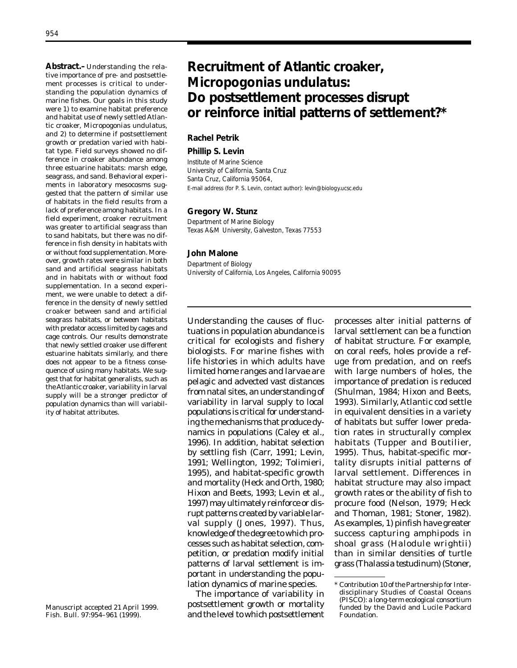**Abstract.–**Understanding the relative importance of pre- and postsettlement processes is critical to understanding the population dynamics of marine fishes. Our goals in this study were 1) to examine habitat preference and habitat use of newly settled Atlantic croaker, *Micropogonias undulatus*, and 2) to determine if postsettlement growth or predation varied with habitat type. Field surveys showed no difference in croaker abundance among three estuarine habitats: marsh edge, seagrass, and sand. Behavioral experiments in laboratory mesocosms suggested that the pattern of similar use of habitats in the field results from a lack of preference among habitats. In a field experiment, croaker recruitment was greater to artificial seagrass than to sand habitats, but there was no difference in fish density in habitats with or without food supplementation. Moreover, growth rates were similar in both sand and artificial seagrass habitats and in habitats with or without food supplementation. In a second experiment, we were unable to detect a difference in the density of newly settled croaker between sand and artificial seagrass habitats, or between habitats with predator access limited by cages and cage controls. Our results demonstrate that newly settled croaker use different estuarine habitats similarly, and there does not appear to be a fitness consequence of using many habitats. We suggest that for habitat generalists, such as the Atlantic croaker, variability in larval supply will be a stronger predictor of population dynamics than will variability of habitat attributes.

Manuscript accepted 21 April 1999. Fish. Bull. 97:954–961 (1999).

# **Recruitment of Atlantic croaker,** *Micropogonias undulatus***: Do postsettlement processes disrupt or reinforce initial patterns of settlement?\***

# **Rachel Petrik**

### **Phillip S. Levin**

Institute of Marine Science University of California, Santa Cruz Santa Cruz, California 95064, E-mail address (for P. S. Levin, contact author): levin@biology.ucsc.edu

### **Gregory W. Stunz**

Department of Marine Biology Texas A&M University, Galveston, Texas 77553

#### **John Malone**

Department of Biology University of California, Los Angeles, California 90095

Understanding the causes of fluctuations in population abundance is critical for ecologists and fishery biologists. For marine fishes with life histories in which adults have limited home ranges and larvae are pelagic and advected vast distances from natal sites, an understanding of variability in larval supply to local populations is critical for understanding the mechanisms that produce dynamics in populations (Caley et al., 1996). In addition, habitat selection by settling fish (Carr, 1991; Levin, 1991; Wellington, 1992; Tolimieri, 1995), and habitat-specific growth and mortality (Heck and Orth, 1980; Hixon and Beets, 1993; Levin et al., 1997) may ultimately reinforce or disrupt patterns created by variable larval supply (Jones, 1997). Thus, knowledge of the degree to which processes such as habitat selection, competition, or predation modify initial patterns of larval settlement is important in understanding the population dynamics of marine species.

The importance of variability in postsettlement growth or mortality and the level to which postsettlement processes alter initial patterns of larval settlement can be a function of habitat structure. For example, on coral reefs, holes provide a refuge from predation, and on reefs with large numbers of holes, the importance of predation is reduced (Shulman, 1984; Hixon and Beets, 1993). Similarly, Atlantic cod settle in equivalent densities in a variety of habitats but suffer lower predation rates in structurally complex habitats (Tupper and Boutilier, 1995). Thus, habitat-specific mortality disrupts initial patterns of larval settlement. Differences in habitat structure may also impact growth rates or the ability of fish to procure food (Nelson, 1979; Heck and Thoman, 1981; Stoner, 1982). As examples, 1) pinfish have greater success capturing amphipods in shoal grass (*Halodule wrightii*) than in similar densities of turtle grass (*Thalassia testudinum*) (Stoner,

<sup>\*</sup> Contribution 10 of the Partnership for Interdisciplinary Studies of Coastal Oceans (PISCO): a long-term ecological consortium funded by the David and Lucile Packard Foundation.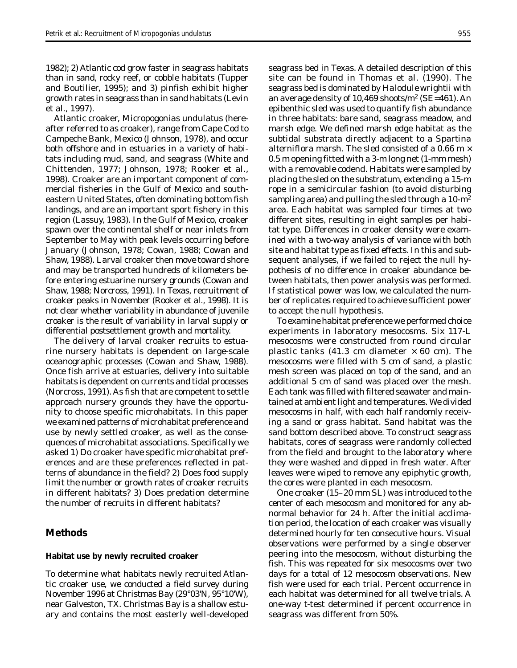1982); 2) Atlantic cod grow faster in seagrass habitats than in sand, rocky reef, or cobble habitats (Tupper and Boutilier, 1995); and 3) pinfish exhibit higher growth rates in seagrass than in sand habitats (Levin et al., 1997).

Atlantic croaker, *Micropogonias undulatus* (hereafter referred to as croaker), range from Cape Cod to Campeche Bank, Mexico (Johnson, 1978), and occur both offshore and in estuaries in a variety of habitats including mud, sand, and seagrass (White and Chittenden, 1977; Johnson, 1978; Rooker et al., 1998). Croaker are an important component of commercial fisheries in the Gulf of Mexico and southeastern United States, often dominating bottom fish landings, and are an important sport fishery in this region (Lassuy, 1983). In the Gulf of Mexico, croaker spawn over the continental shelf or near inlets from September to May with peak levels occurring before January (Johnson, 1978; Cowan, 1988; Cowan and Shaw, 1988). Larval croaker then move toward shore and may be transported hundreds of kilometers before entering estuarine nursery grounds (Cowan and Shaw, 1988; Norcross, 1991). In Texas, recruitment of croaker peaks in November (Rooker et al., 1998). It is not clear whether variability in abundance of juvenile croaker is the result of variability in larval supply or differential postsettlement growth and mortality.

The delivery of larval croaker recruits to estuarine nursery habitats is dependent on large-scale oceanographic processes (Cowan and Shaw, 1988). Once fish arrive at estuaries, delivery into suitable habitats is dependent on currents and tidal processes (Norcross, 1991). As fish that are competent to settle approach nursery grounds they have the opportunity to choose specific microhabitats. In this paper we examined patterns of microhabitat preference and use by newly settled croaker, as well as the consequences of microhabitat associations. Specifically we asked 1) Do croaker have specific microhabitat preferences and are these preferences reflected in patterns of abundance in the field? 2) Does food supply limit the number or growth rates of croaker recruits in different habitats? 3) Does predation determine the number of recruits in different habitats?

# **Methods**

### **Habitat use by newly recruited croaker**

To determine what habitats newly recruited Atlantic croaker use, we conducted a field survey during November 1996 at Christmas Bay (29°03'N, 95°10'W), near Galveston, TX. Christmas Bay is a shallow estuary and contains the most easterly well-developed seagrass bed in Texas. A detailed description of this site can be found in Thomas et al. (1990). The seagrass bed is dominated by *Halodule wrightii* with an average density of 10,469 shoots/m2 (SE=461). An epibenthic sled was used to quantify fish abundance in three habitats: bare sand, seagrass meadow, and marsh edge. We defined marsh edge habitat as the subtidal substrata directly adjacent to a *Spartina alterniflora* marsh. The sled consisted of a 0.66 m  $\times$ 0.5 m opening fitted with a 3-m long net (1-mm mesh) with a removable codend. Habitats were sampled by placing the sled on the substratum, extending a 15-m rope in a semicircular fashion (to avoid disturbing sampling area) and pulling the sled through a  $10\text{-m}^2$ area. Each habitat was sampled four times at two different sites, resulting in eight samples per habitat type. Differences in croaker density were examined with a two-way analysis of variance with both site and habitat type as fixed effects. In this and subsequent analyses, if we failed to reject the null hypothesis of no difference in croaker abundance between habitats, then power analysis was performed. If statistical power was low, we calculated the number of replicates required to achieve sufficient power to accept the null hypothesis.

To examine habitat preference we performed choice experiments in laboratory mesocosms. Six 117-L mesocosms were constructed from round circular plastic tanks (41.3 cm diameter  $\times$  60 cm). The mesocosms were filled with 5 cm of sand, a plastic mesh screen was placed on top of the sand, and an additional 5 cm of sand was placed over the mesh. Each tank was filled with filtered seawater and maintained at ambient light and temperatures. We divided mesocosms in half, with each half randomly receiving a sand or grass habitat. Sand habitat was the sand bottom described above. To construct seagrass habitats, cores of seagrass were randomly collected from the field and brought to the laboratory where they were washed and dipped in fresh water. After leaves were wiped to remove any epiphytic growth, the cores were planted in each mesocosm.

One croaker (15–20 mm SL) was introduced to the center of each mesocosm and monitored for any abnormal behavior for 24 h. After the initial acclimation period, the location of each croaker was visually determined hourly for ten consecutive hours. Visual observations were performed by a single observer peering into the mesocosm, without disturbing the fish. This was repeated for six mesocosms over two days for a total of 12 mesocosm observations. New fish were used for each trial. Percent occurrence in each habitat was determined for all twelve trials. A one-way *t*-test determined if percent occurrence in seagrass was different from 50%.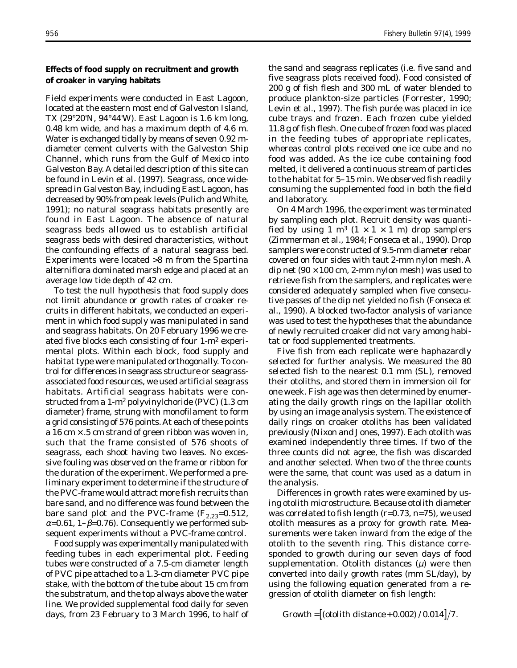# **Effects of food supply on recruitment and growth of croaker in varying habitats**

Field experiments were conducted in East Lagoon, located at the eastern most end of Galveston Island, TX (29°20'N, 94°44'W). East Lagoon is 1.6 km long, 0.48 km wide, and has a maximum depth of 4.6 m. Water is exchanged tidally by means of seven 0.92 mdiameter cement culverts with the Galveston Ship Channel, which runs from the Gulf of Mexico into Galveston Bay. A detailed description of this site can be found in Levin et al. (1997). Seagrass, once widespread in Galveston Bay, including East Lagoon, has decreased by 90% from peak levels (Pulich and White, 1991); no natural seagrass habitats presently are found in East Lagoon. The absence of natural seagrass beds allowed us to establish artificial seagrass beds with desired characteristics, without the confounding effects of a natural seagrass bed. Experiments were located >8 m from the *Spartina alterniflora* dominated marsh edge and placed at an average low tide depth of 42 cm.

To test the null hypothesis that food supply does not limit abundance or growth rates of croaker recruits in different habitats, we conducted an experiment in which food supply was manipulated in sand and seagrass habitats. On 20 February 1996 we created five blocks each consisting of four 1-m2 experimental plots. Within each block, food supply and habitat type were manipulated orthogonally. To control for differences in seagrass structure or seagrassassociated food resources, we used artificial seagrass habitats. Artificial seagrass habitats were constructed from a 1-m2 polyvinylchoride (PVC) (1.3 cm diameter) frame, strung with monofilament to form a grid consisting of 576 points. At each of these points a 16 cm  $\times$  .5 cm strand of green ribbon was woven in, such that the frame consisted of 576 shoots of seagrass, each shoot having two leaves. No excessive fouling was observed on the frame or ribbon for the duration of the experiment. We performed a preliminary experiment to determine if the structure of the PVC-frame would attract more fish recruits than bare sand, and no difference was found between the bare sand plot and the PVC-frame  $(F_{2,23}=0.512,$  $\alpha$ =0.61, 1- $\beta$ =0.76). Consequently we performed subsequent experiments without a PVC-frame control.

Food supply was experimentally manipulated with feeding tubes in each experimental plot. Feeding tubes were constructed of a 7.5-cm diameter length of PVC pipe attached to a 1.3-cm diameter PVC pipe stake, with the bottom of the tube about 15 cm from the substratum, and the top always above the water line. We provided supplemental food daily for seven days, from 23 February to 3 March 1996, to half of

the sand and seagrass replicates (i.e. five sand and five seagrass plots received food). Food consisted of 200 g of fish flesh and 300 mL of water blended to produce plankton-size particles (Forrester, 1990; Levin et al., 1997). The fish purée was placed in ice cube trays and frozen. Each frozen cube yielded 11.8 g of fish flesh. One cube of frozen food was placed in the feeding tubes of appropriate replicates, whereas control plots received one ice cube and no food was added. As the ice cube containing food melted, it delivered a continuous stream of particles to the habitat for 5–15 min. We observed fish readily consuming the supplemented food in both the field and laboratory.

On 4 March 1996, the experiment was terminated by sampling each plot. Recruit density was quantified by using 1 m<sup>3</sup> ( $1 \times 1 \times 1$  m) drop samplers (Zimmerman et al., 1984; Fonseca et al., 1990). Drop samplers were constructed of 9.5-mm diameter rebar covered on four sides with taut 2-mm nylon mesh. A dip net ( $90 \times 100$  cm, 2-mm nylon mesh) was used to retrieve fish from the samplers, and replicates were considered adequately sampled when five consecutive passes of the dip net yielded no fish (Fonseca et al., 1990). A blocked two-factor analysis of variance was used to test the hypotheses that the abundance of newly recruited croaker did not vary among habitat or food supplemented treatments.

Five fish from each replicate were haphazardly selected for further analysis. We measured the 80 selected fish to the nearest 0.1 mm (SL), removed their otoliths, and stored them in immersion oil for one week. Fish age was then determined by enumerating the daily growth rings on the lapillar otolith by using an image analysis system. The existence of daily rings on croaker otoliths has been validated previously (Nixon and Jones, 1997). Each otolith was examined independently three times. If two of the three counts did not agree, the fish was discarded and another selected. When two of the three counts were the same, that count was used as a datum in the analysis.

Differences in growth rates were examined by using otolith microstructure. Because otolith diameter was correlated to fish length (*r*=0.73, *n*=75), we used otolith measures as a proxy for growth rate. Measurements were taken inward from the edge of the otolith to the seventh ring. This distance corresponded to growth during our seven days of food supplementation. Otolith distances  $(\mu)$  were then converted into daily growth rates (mm SL/day), by using the following equation generated from a regression of otolith diameter on fish length:

 $Growth = [(otolith distance + 0.002) / 0.014]/7.$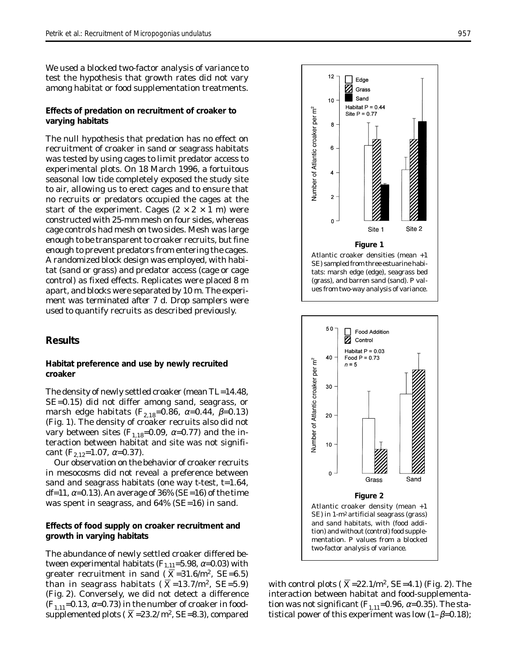We used a blocked two-factor analysis of variance to test the hypothesis that growth rates did not vary among habitat or food supplementation treatments.

# **Effects of predation on recruitment of croaker to varying habitats**

The null hypothesis that predation has no effect on recruitment of croaker in sand or seagrass habitats was tested by using cages to limit predator access to experimental plots. On 18 March 1996, a fortuitous seasonal low tide completely exposed the study site to air, allowing us to erect cages and to ensure that no recruits or predators occupied the cages at the start of the experiment. Cages  $(2 \times 2 \times 1$  m) were constructed with 25-mm mesh on four sides, whereas cage controls had mesh on two sides. Mesh was large enough to be transparent to croaker recruits, but fine enough to prevent predators from entering the cages. A randomized block design was employed, with habitat (sand or grass) and predator access (cage or cage control) as fixed effects. Replicates were placed 8 m apart, and blocks were separated by 10 m. The experiment was terminated after 7 d. Drop samplers were used to quantify recruits as described previously.

# **Results**

# **Habitat preference and use by newly recruited croaker**

The density of newly settled croaker (mean TL=14.48, SE=0.15) did not differ among sand, seagrass, or marsh edge habitats ( $F_{2,18}=0.86$ ,  $\alpha=0.44$ ,  $\beta=0.13$ ) (Fig. 1). The density of croaker recruits also did not vary between sites  $(F_{1,18}=0.09, \alpha=0.77)$  and the interaction between habitat and site was not significant  $(F_{2,12}=1.07, \alpha=0.37)$ .

Our observation on the behavior of croaker recruits in mesocosms did not reveal a preference between sand and seagrass habitats (one way *t*-test, *t*=1.64, df=11,  $\alpha$ =0.13). An average of 36% (SE=16) of the time was spent in seagrass, and 64% (SE=16) in sand.

# **Effects of food supply on croaker recruitment and growth in varying habitats**

The abundance of newly settled croaker differed between experimental habitats  $(F_{1,11}=5.98, \alpha=0.03)$  with greater recruitment in sand ( $\overline{X}$ =31.6/m<sup>2</sup>, SE=6.5) than in seagrass habitats ( $\overline{X}$ =13.7/m<sup>2</sup>, SE=5.9) (Fig. 2). Conversely, we did not detect a difference  $(F_{1,11}=0.13, \alpha=0.73)$  in the number of croaker in foodsupplemented plots ( $X=23.2/m^2$ , SE=8.3), compared



tats: marsh edge (edge), seagrass bed (grass), and barren sand (sand). *P* values from two-way analysis of variance.



with control plots ( $\overline{X}$ =22.1/m<sup>2</sup>, SE=4.1) (Fig. 2). The interaction between habitat and food-supplementation was not significant ( $F_{1,11}$ =0.96,  $\alpha$ =0.35). The statistical power of this experiment was low  $(1-\beta=0.18)$ ;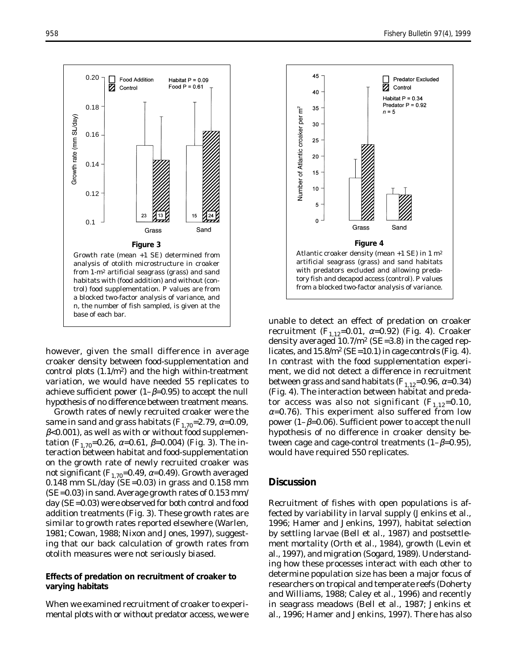

however, given the small difference in average croaker density between food-supplementation and control plots  $(1.1/m<sup>2</sup>)$  and the high within-treatment variation, we would have needed 55 replicates to achieve sufficient power  $(1-\beta=0.95)$  to accept the null hypothesis of no difference between treatment means.

Growth rates of newly recruited croaker were the same in sand and grass habitats  $(F_{1,70}=2.79, \alpha=0.09,$  $\beta$ <0.001), as well as with or without food supplementation ( $F_{1,70}$ =0.26,  $\alpha$ =0.61,  $\beta$ =0.004) (Fig. 3). The interaction between habitat and food-supplementation on the growth rate of newly recruited croaker was not significant  $(F_{1,70}=0.49, \alpha=0.49)$ . Growth averaged  $0.148$  mm SL/day (SE=0.03) in grass and 0.158 mm (SE=0.03) in sand. Average growth rates of 0.153 mm/ day (SE=0.03) were observed for both control and food addition treatments (Fig. 3). These growth rates are similar to growth rates reported elsewhere (Warlen, 1981; Cowan, 1988; Nixon and Jones, 1997), suggesting that our back calculation of growth rates from otolith measures were not seriously biased.

## **Effects of predation on recruitment of croaker to varying habitats**

When we examined recruitment of croaker to experimental plots with or without predator access, we were



unable to detect an effect of predation on croaker recruitment ( $F_{1,12}$ =0.01, α=0.92) (Fig. 4). Croaker density averaged  $10.7/m^2$  (SE=3.8) in the caged replicates, and  $15.8/m^2$  (SE=10.1) in cage controls (Fig. 4). In contrast with the food supplementation experiment, we did not detect a difference in recruitment between grass and sand habitats  $(F_{1,12}=0.96, \alpha=0.34)$ (Fig. 4). The interaction between habitat and predator access was also not significant  $(F_{1,12}=0.10,$  $\alpha$ =0.76). This experiment also suffered from low power (1–β=0.06). Sufficient power to accept the null hypothesis of no difference in croaker density between cage and cage-control treatments  $(1-\beta=0.95)$ , would have required 550 replicates.

# **Discussion**

Recruitment of fishes with open populations is affected by variability in larval supply (Jenkins et al., 1996; Hamer and Jenkins, 1997), habitat selection by settling larvae (Bell et al., 1987) and postsettlement mortality (Orth et al., 1984), growth (Levin et al., 1997), and migration (Sogard, 1989). Understanding how these processes interact with each other to determine population size has been a major focus of researchers on tropical and temperate reefs (Doherty and Williams, 1988; Caley et al., 1996) and recently in seagrass meadows (Bell et al., 1987; Jenkins et al., 1996; Hamer and Jenkins, 1997). There has also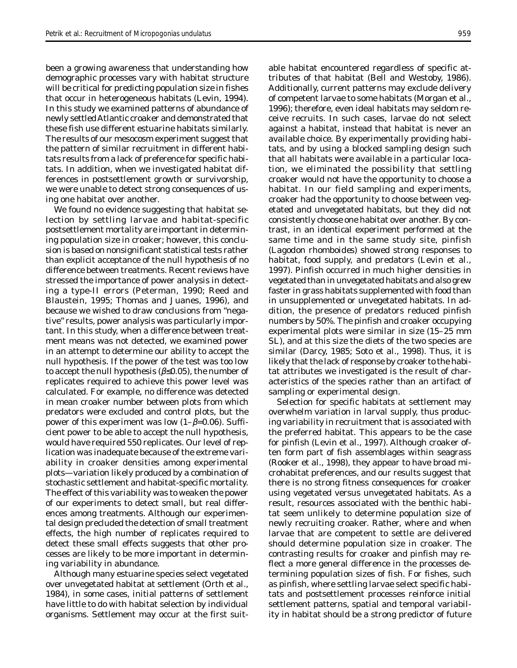been a growing awareness that understanding how demographic processes vary with habitat structure will be critical for predicting population size in fishes that occur in heterogeneous habitats (Levin, 1994). In this study we examined patterns of abundance of newly settled Atlantic croaker and demonstrated that these fish use different estuarine habitats similarly. The results of our mesocosm experiment suggest that the pattern of similar recruitment in different habitats results from a lack of preference for specific habitats. In addition, when we investigated habitat differences in postsettlement growth or survivorship, we were unable to detect strong consequences of using one habitat over another.

We found no evidence suggesting that habitat selection by settling larvae and habitat-specific postsettlement mortality are important in determining population size in croaker; however, this conclusion is based on nonsignificant statistical tests rather than explicit acceptance of the null hypothesis of no difference between treatments. Recent reviews have stressed the importance of power analysis in detecting a type-II errors (Peterman, 1990; Reed and Blaustein, 1995; Thomas and Juanes, 1996), and because we wished to draw conclusions from "negative" results, power analysis was particularly important. In this study, when a difference between treatment means was not detected, we examined power in an attempt to determine our ability to accept the null hypothesis. If the power of the test was too low to accept the null hypothesis ( $\beta \leq 0.05$ ), the number of replicates required to achieve this power level was calculated. For example, no difference was detected in mean croaker number between plots from which predators were excluded and control plots, but the power of this experiment was low  $(1-\beta=0.06)$ . Sufficient power to be able to accept the null hypothesis, would have required 550 replicates. Our level of replication was inadequate because of the extreme variability in croaker densities among experimental plots—variation likely produced by a combination of stochastic settlement and habitat-specific mortality. The effect of this variability was to weaken the power of our experiments to detect small, but real differences among treatments. Although our experimental design precluded the detection of small treatment effects, the high number of replicates required to detect these small effects suggests that other processes are likely to be more important in determining variability in abundance.

Although many estuarine species select vegetated over unvegetated habitat at settlement (Orth et al., 1984), in some cases, initial patterns of settlement have little to do with habitat selection by individual organisms. Settlement may occur at the first suit-

able habitat encountered regardless of specific attributes of that habitat (Bell and Westoby, 1986). Additionally, current patterns may exclude delivery of competent larvae to some habitats (Morgan et al., 1996); therefore, even ideal habitats may seldom receive recruits. In such cases, larvae do not select against a habitat, instead that habitat is never an available choice. By experimentally providing habitats, and by using a blocked sampling design such that all habitats were available in a particular location, we eliminated the possibility that settling croaker would not have the opportunity to choose a habitat. In our field sampling and experiments, croaker had the opportunity to choose between vegetated and unvegetated habitats, but they did not consistently choose one habitat over another. By contrast, in an identical experiment performed at the same time and in the same study site, pinfish (*Lagodon rhomboides*) showed strong responses to habitat, food supply, and predators (Levin et al., 1997). Pinfish occurred in much higher densities in vegetated than in unvegetated habitats and also grew faster in grass habitats supplemented with food than in unsupplemented or unvegetated habitats. In addition, the presence of predators reduced pinfish numbers by 50%. The pinfish and croaker occupying experimental plots were similar in size (15–25 mm SL), and at this size the diets of the two species are similar (Darcy, 1985; Soto et al., 1998). Thus, it is likely that the lack of response by croaker to the habitat attributes we investigated is the result of characteristics of the species rather than an artifact of sampling or experimental design.

Selection for specific habitats at settlement may overwhelm variation in larval supply, thus producing variability in recruitment that is associated with the preferred habitat. This appears to be the case for pinfish (Levin et al., 1997). Although croaker often form part of fish assemblages within seagrass (Rooker et al., 1998), they appear to have broad microhabitat preferences, and our results suggest that there is no strong fitness consequences for croaker using vegetated versus unvegetated habitats. As a result, resources associated with the benthic habitat seem unlikely to determine population size of newly recruiting croaker. Rather, where and when larvae that are competent to settle are delivered should determine population size in croaker. The contrasting results for croaker and pinfish may reflect a more general difference in the processes determining population sizes of fish. For fishes, such as pinfish, where settling larvae select specific habitats and postsettlement processes reinforce initial settlement patterns, spatial and temporal variability in habitat should be a strong predictor of future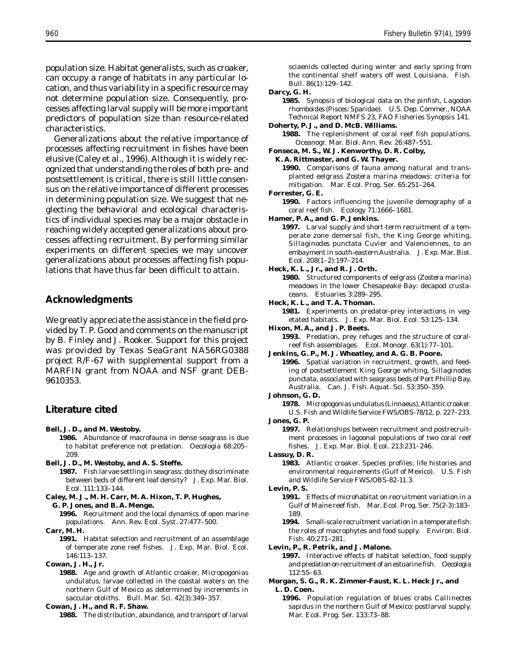population size. Habitat generalists, such as croaker, can occupy a range of habitats in any particular location, and thus variability in a specific resource may not determine population size. Consequently, processes affecting larval supply will be more important predictors of population size than resource-related characteristics.

Generalizations about the relative importance of processes affecting recruitment in fishes have been elusive (Caley et al., 1996). Although it is widely recognized that understanding the roles of both pre- and postsettlement is critical, there is still little consensus on the relative importance of different processes in determining population size. We suggest that neglecting the behavioral and ecological characteristics of individual species may be a major obstacle in reaching widely accepted generalizations about processes affecting recruitment. By performing similar experiments on different species we may uncover generalizations about processes affecting fish populations that have thus far been difficult to attain.

# **Acknowledgments**

We greatly appreciate the assistance in the field provided by T. P. Good and comments on the manuscript by B. Finley and J. Rooker. Support for this project was provided by Texas SeaGrant NA56RG0388 project R/F-67 with supplemental support from a MARFIN grant from NOAA and NSF grant DEB-9610353.

# **Literature cited**

- **Bell, J. D., and M. Westoby.**
	- **1986.** Abundance of macrofauna in dense seagrass is due to habitat preference not predation. Oecologia 68:205– 209.
- **Bell, J. D., M. Westoby, and A. S. Steffe.**
	- **1987.** Fish larvae settling in seagrass: do they discriminate between beds of different leaf density? J. Exp. Mar. Biol. Ecol. 111:133–144.
- **Caley, M. J., M. H. Carr, M. A. Hixon, T. P. Hughes,**

```
G. P. Jones, and B. A. Menge.
```
**Carr, M. H.**

**1991.** Habitat selection and recruitment of an assemblage of temperate zone reef fishes. J. Exp. Mar. Biol. Ecol. 146:113–137.

**Cowan, J. H., Jr.**

**1988.** Age and growth of Atlantic croaker, *Micropogonias undulatus*, larvae collected in the coastal waters on the northern Gulf of Mexico as determined by increments in saccular otoliths. Bull. Mar. Sci. 42(3):349–357.

### **Cowan, J. H., and R. F. Shaw.**

**1988.** The distribution, abundance, and transport of larval

sciaenids collected during winter and early spring from the continental shelf waters off west Louisiana. Fish. Bull. 86(1):129–142.

### **Darcy, G. H.**

**1985.** Synopsis of biological data on the pinfish*, Lagodon rhomboides* (Pisces: Sparidae). U.S. Dep. Commer., NOAA Technical Report NMFS 23, FAO Fisheries Synopsis 141.

**Doherty, P. J., and D. McB. Williams.**

**1988.** The replenishment of coral reef fish populations. Oceanogr. Mar. Biol. Ann. Rev. 26:487–551.

### **Fonseca, M. S., W. J. Kenworthy, D. R. Colby,**

#### **K. A. Rittmaster, and G. W. Thayer.**

**1990.** Comparisons of fauna among natural and transplanted eelgrass *Zostera marina* meadows: criteria for mitigation. Mar. Ecol. Prog. Ser. 65:251–264.

**Forrester, G. E.**

- **1990.** Factors influencing the juvenile demography of a coral reef fish. Ecology 71:1666–1681.
- **Hamer, P. A., and G. P. Jenkins.**
	- **1997.** Larval supply and short-term recruitment of a temperate zone demersal fish, the King George whiting, *Sillaginodes punctata* Cuvier and Valenciennes, to an embayment in south-eastern Australia. J. Exp. Mar. Biol. Ecol. 208(1–2):197–214.

**Heck, K. L., Jr., and R. J. Orth.**

- **1980.** Structured components of eelgrass (*Zostera marina*) meadows in the lower Chesapeake Bay: decapod crustaceans. Estuaries 3:289–295.
- **Heck, K. L., and T. A. Thoman.**

**1981.** Experiments on predator-prey interactions in vegetated habitats. J. Exp. Mar. Biol. Ecol. 53:125–134.

**Hixon, M. A., and J. P. Beets.**

**1993.** Predation, prey refuges and the structure of coralreef fish assemblages. Ecol. Monogr. 63(1):77–101.

- **Jenkins, G. P., M. J. Wheatley, and A. G. B. Poore.**
	- **1996.** Spatial variation in recruitment, growth, and feeding of postsettlement King George whiting, *Sillaginodes punctata*, associated with seagrass beds of Port Phillip Bay, Australia. Can. J. Fish. Aquat. Sci. 53:350–359.

#### **Johnson, G. D.**

- **1978.** *Micropogonias undulatus* (Linnaeus), Atlantic croaker. U.S. Fish and Wildlife Service FWS/OBS-78/12, p. 227–233.
- **Jones, G. P.**

**1997.** Relationships between recruitment and postrecruitment processes in lagoonal populations of two coral reef fishes. J. Exp. Mar. Biol. Ecol. 213:231–246.

**Lassuy, D. R.**

**1983.** Atlantic croaker. Species profiles: life histories and environmental requirements (Gulf of Mexico). U.S. Fish and Wildlife Service FWS/OBS-82-11.3.

- **1991.** Effects of microhabitat on recruitment variation in a Gulf of Maine reef fish. Mar. Ecol. Prog. Ser. 75(2-3):183– 189.
- **1994.** Small-scale recruitment variation in a temperate fish: the roles of macrophytes and food supply. Environ. Biol. Fish. 40:271–281.

#### **Levin, P., R. Petrik, and J. Malone.**

- **1997.** Interactive effects of habitat selection, food supply and predation on recruitment of an estuarine fish. Oecologia 112:55–63.
- **Morgan, S. G., R. K. Zimmer-Faust, K. L. Heck Jr., and L. D. Coen.**
	- **1996.** Population regulation of blues crabs *Callinectes sapidus* in the northern Gulf of Mexico: postlarval supply. Mar. Ecol. Prog. Ser. 133:73–88.

**<sup>1996.</sup>** Recruitment and the local dynamics of open marine populations. Ann. Rev. Ecol. Syst. 27:477–500.

**Levin, P. S.**